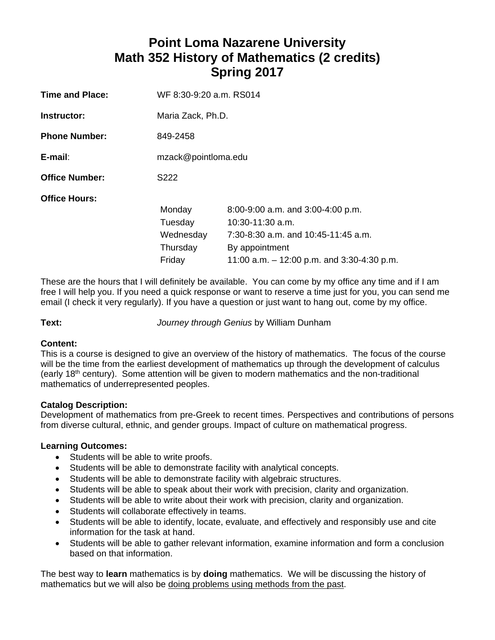# **Point Loma Nazarene University Math 352 History of Mathematics (2 credits) Spring 2017**

| <b>Time and Place:</b> | WF 8:30-9:20 a.m. RS014 |                                              |  |
|------------------------|-------------------------|----------------------------------------------|--|
| Instructor:            | Maria Zack, Ph.D.       |                                              |  |
| <b>Phone Number:</b>   | 849-2458                |                                              |  |
| E-mail:                | mzack@pointloma.edu     |                                              |  |
| <b>Office Number:</b>  | S222                    |                                              |  |
| <b>Office Hours:</b>   |                         |                                              |  |
|                        | Monday                  | 8:00-9:00 a.m. and 3:00-4:00 p.m.            |  |
|                        | Tuesday                 | $10:30-11:30$ a.m.                           |  |
|                        | Wednesday               | $7:30-8:30$ a.m. and $10:45-11:45$ a.m.      |  |
|                        | Thursday                | By appointment                               |  |
|                        | Friday                  | 11:00 a.m. $-$ 12:00 p.m. and 3:30-4:30 p.m. |  |

These are the hours that I will definitely be available. You can come by my office any time and if I am free I will help you. If you need a quick response or want to reserve a time just for you, you can send me email (I check it very regularly). If you have a question or just want to hang out, come by my office.

**Text:** *Journey through Genius* by William Dunham

# **Content:**

This is a course is designed to give an overview of the history of mathematics. The focus of the course will be the time from the earliest development of mathematics up through the development of calculus (early 18<sup>th</sup> century). Some attention will be given to modern mathematics and the non-traditional mathematics of underrepresented peoples.

# **Catalog Description:**

Development of mathematics from pre-Greek to recent times. Perspectives and contributions of persons from diverse cultural, ethnic, and gender groups. Impact of culture on mathematical progress.

# **Learning Outcomes:**

- Students will be able to write proofs.
- Students will be able to demonstrate facility with analytical concepts.
- Students will be able to demonstrate facility with algebraic structures.
- Students will be able to speak about their work with precision, clarity and organization.
- Students will be able to write about their work with precision, clarity and organization.
- Students will collaborate effectively in teams.
- Students will be able to identify, locate, evaluate, and effectively and responsibly use and cite information for the task at hand.
- Students will be able to gather relevant information, examine information and form a conclusion based on that information.

The best way to **learn** mathematics is by **doing** mathematics.We will be discussing the history of mathematics but we will also be doing problems using methods from the past.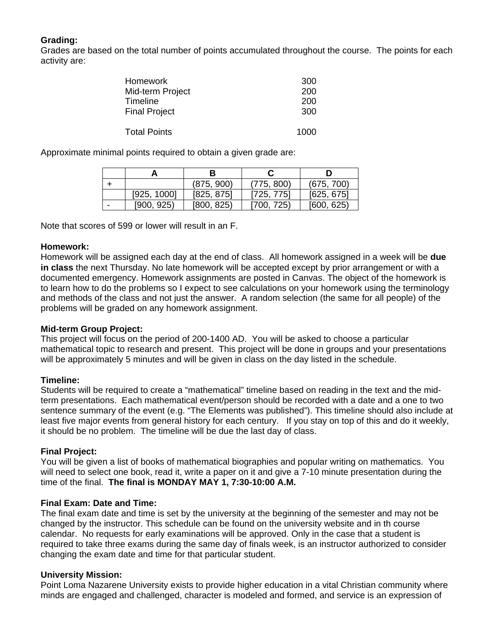# **Grading:**

Grades are based on the total number of points accumulated throughout the course. The points for each activity are:

| <b>Homework</b>      | 300  |
|----------------------|------|
| Mid-term Project     | 200  |
| <b>Timeline</b>      | 200  |
| <b>Final Project</b> | 300  |
| <b>Total Points</b>  | 1000 |

Approximate minimal points required to obtain a given grade are:

|                          |             | в          |            |            |
|--------------------------|-------------|------------|------------|------------|
|                          |             | (875, 900) | (775, 800) | (675, 700) |
|                          | [925, 1000] | [825, 875] | [725, 775] | [625, 675] |
| $\overline{\phantom{a}}$ | [900, 925]  | [800, 825] | [700, 725) | [600, 625] |

Note that scores of 599 or lower will result in an F.

#### **Homework:**

Homework will be assigned each day at the end of class. All homework assigned in a week will be **due in class** the next Thursday. No late homework will be accepted except by prior arrangement or with a documented emergency. Homework assignments are posted in Canvas. The object of the homework is to learn how to do the problems so I expect to see calculations on your homework using the terminology and methods of the class and not just the answer. A random selection (the same for all people) of the problems will be graded on any homework assignment.

# **Mid-term Group Project:**

This project will focus on the period of 200-1400 AD. You will be asked to choose a particular mathematical topic to research and present. This project will be done in groups and your presentations will be approximately 5 minutes and will be given in class on the day listed in the schedule.

# **Timeline:**

Students will be required to create a "mathematical" timeline based on reading in the text and the midterm presentations. Each mathematical event/person should be recorded with a date and a one to two sentence summary of the event (e.g. "The Elements was published"). This timeline should also include at least five major events from general history for each century. If you stay on top of this and do it weekly, it should be no problem. The timeline will be due the last day of class.

# **Final Project:**

You will be given a list of books of mathematical biographies and popular writing on mathematics. You will need to select one book, read it, write a paper on it and give a 7-10 minute presentation during the time of the final. **The final is MONDAY MAY 1, 7:30-10:00 A.M.** 

#### **Final Exam: Date and Time:**

The final exam date and time is set by the university at the beginning of the semester and may not be changed by the instructor. This schedule can be found on the university website and in th course calendar. No requests for early examinations will be approved. Only in the case that a student is required to take three exams during the same day of finals week, is an instructor authorized to consider changing the exam date and time for that particular student.

# **University Mission:**

Point Loma Nazarene University exists to provide higher education in a vital Christian community where minds are engaged and challenged, character is modeled and formed, and service is an expression of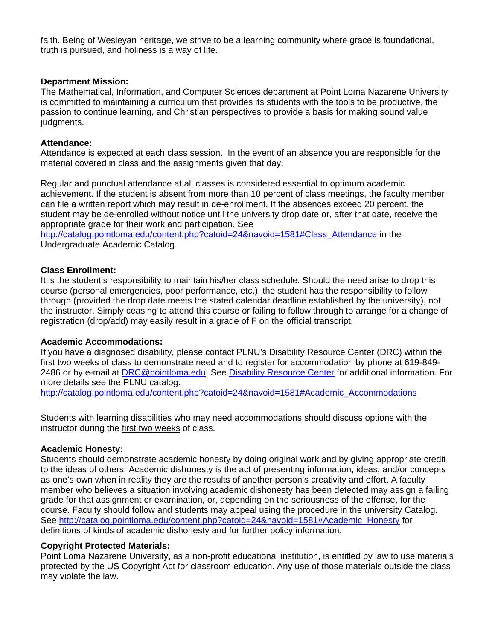faith. Being of Wesleyan heritage, we strive to be a learning community where grace is foundational, truth is pursued, and holiness is a way of life.

#### **Department Mission:**

The Mathematical, Information, and Computer Sciences department at Point Loma Nazarene University is committed to maintaining a curriculum that provides its students with the tools to be productive, the passion to continue learning, and Christian perspectives to provide a basis for making sound value judgments.

#### **Attendance:**

Attendance is expected at each class session. In the event of an absence you are responsible for the material covered in class and the assignments given that day.

Regular and punctual attendance at all classes is considered essential to optimum academic achievement. If the student is absent from more than 10 percent of class meetings, the faculty member can file a written report which may result in de-enrollment. If the absences exceed 20 percent, the student may be de-enrolled without notice until the university drop date or, after that date, receive the appropriate grade for their work and participation. See

http://catalog.pointloma.edu/content.php?catoid=24&navoid=1581#Class\_Attendance in the Undergraduate Academic Catalog.

#### **Class Enrollment:**

It is the student's responsibility to maintain his/her class schedule. Should the need arise to drop this course (personal emergencies, poor performance, etc.), the student has the responsibility to follow through (provided the drop date meets the stated calendar deadline established by the university), not the instructor. Simply ceasing to attend this course or failing to follow through to arrange for a change of registration (drop/add) may easily result in a grade of F on the official transcript.

#### **Academic Accommodations:**

If you have a diagnosed disability, please contact PLNU's Disability Resource Center (DRC) within the first two weeks of class to demonstrate need and to register for accommodation by phone at 619-849- 2486 or by e-mail at DRC@pointloma.edu. See Disability Resource Center for additional information. For more details see the PLNU catalog:

http://catalog.pointloma.edu/content.php?catoid=24&navoid=1581#Academic\_Accommodations

Students with learning disabilities who may need accommodations should discuss options with the instructor during the first two weeks of class.

# **Academic Honesty:**

Students should demonstrate academic honesty by doing original work and by giving appropriate credit to the ideas of others. Academic dishonesty is the act of presenting information, ideas, and/or concepts as one's own when in reality they are the results of another person's creativity and effort. A faculty member who believes a situation involving academic dishonesty has been detected may assign a failing grade for that assignment or examination, or, depending on the seriousness of the offense, for the course. Faculty should follow and students may appeal using the procedure in the university Catalog. See http://catalog.pointloma.edu/content.php?catoid=24&navoid=1581#Academic\_Honesty for definitions of kinds of academic dishonesty and for further policy information.

#### **Copyright Protected Materials:**

Point Loma Nazarene University, as a non-profit educational institution, is entitled by law to use materials protected by the US Copyright Act for classroom education. Any use of those materials outside the class may violate the law.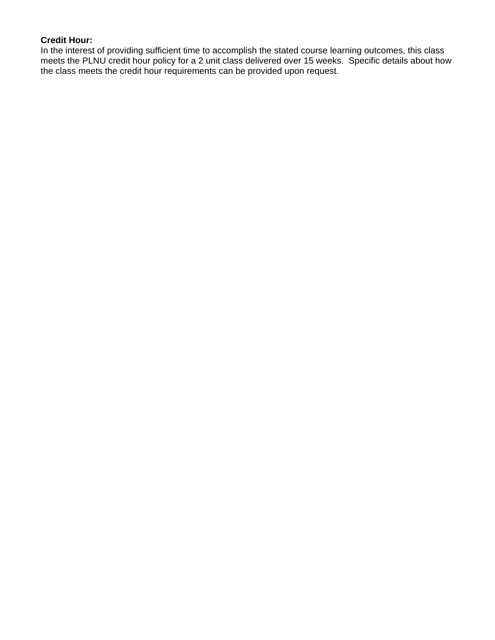# **Credit Hour:**

In the interest of providing sufficient time to accomplish the stated course learning outcomes, this class meets the PLNU credit hour policy for a 2 unit class delivered over 15 weeks. Specific details about how the class meets the credit hour requirements can be provided upon request.